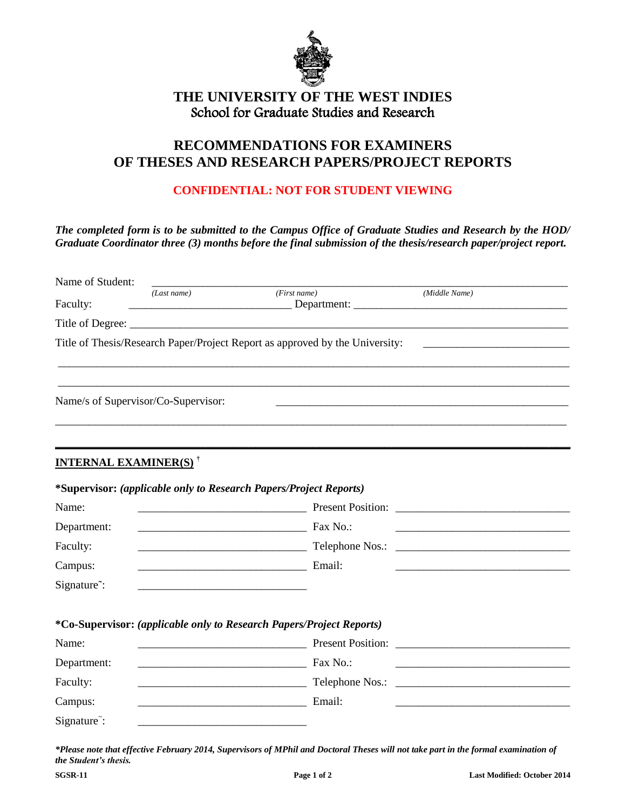

## **THE UNIVERSITY OF THE WEST INDIES** School for Graduate Studies and Research

# **RECOMMENDATIONS FOR EXAMINERS OF THESES AND RESEARCH PAPERS/PROJECT REPORTS**

## **CONFIDENTIAL: NOT FOR STUDENT VIEWING**

*The completed form is to be submitted to the Campus Office of Graduate Studies and Research by the HOD/ Graduate Coordinator three (3) months before the final submission of the thesis/research paper/project report.*

| Name of Student:                            |                                                                                                                      |                                                                              |                                               |
|---------------------------------------------|----------------------------------------------------------------------------------------------------------------------|------------------------------------------------------------------------------|-----------------------------------------------|
| Faculty:                                    | (Last name)                                                                                                          | (First name)<br>$\blacksquare$ Department: $\blacksquare$                    | (Middle Name)                                 |
|                                             |                                                                                                                      |                                                                              |                                               |
|                                             |                                                                                                                      | Title of Thesis/Research Paper/Project Report as approved by the University: |                                               |
|                                             |                                                                                                                      |                                                                              |                                               |
|                                             |                                                                                                                      |                                                                              |                                               |
| Name/s of Supervisor/Co-Supervisor:         |                                                                                                                      |                                                                              |                                               |
|                                             |                                                                                                                      |                                                                              |                                               |
|                                             |                                                                                                                      |                                                                              |                                               |
| <b>INTERNAL EXAMINER(S)<sup>†</sup></b>     |                                                                                                                      |                                                                              |                                               |
|                                             |                                                                                                                      | *Supervisor: (applicable only to Research Papers/Project Reports)            |                                               |
| Name:                                       |                                                                                                                      | Present Position:                                                            |                                               |
| Department:                                 |                                                                                                                      | <b>Fax No.:</b>                                                              |                                               |
| Faculty:                                    |                                                                                                                      |                                                                              | $\blacksquare$ Telephone Nos.: $\blacksquare$ |
| Campus:                                     |                                                                                                                      | <b>Email:</b> Email:                                                         |                                               |
| Signature <sup>7</sup> :                    |                                                                                                                      |                                                                              |                                               |
|                                             |                                                                                                                      |                                                                              |                                               |
|                                             |                                                                                                                      |                                                                              |                                               |
|                                             |                                                                                                                      | *Co-Supervisor: (applicable only to Research Papers/Project Reports)         |                                               |
|                                             |                                                                                                                      |                                                                              | Present Position:                             |
|                                             | <u> 2002 - Jan James James James James James James James James James James James James James James James James J</u> | Fax No.:                                                                     |                                               |
|                                             |                                                                                                                      |                                                                              |                                               |
| Name:<br>Department:<br>Faculty:<br>Campus: |                                                                                                                      | <b>Email:</b> Email:                                                         |                                               |

*\*Please note that effective February 2014, Supervisors of MPhil and Doctoral Theses will not take part in the formal examination of the Student's thesis.*